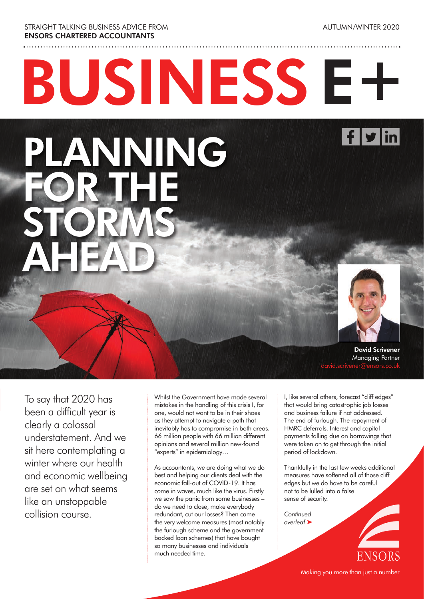STRAIGHT TALKING BUSINESS ADVICE FROM ENSORS CHARTERED ACCOUNTANTS

PLANNING

FOR THE

STORMS

AHEAD

AUTUMN/WINTER 2020

 $f$   $\mathbf{y}$  in

# BUSINESS E+

David Scrivener Managing Partner david.scrivener@ensors.co.uk

To say that 2020 has been a difficult year is clearly a colossal understatement. And we sit here contemplating a winter where our health and economic wellbeing are set on what seems like an unstoppable collision course.

Whilst the Government have made several mistakes in the handling of this crisis I, for one, would not want to be in their shoes as they attempt to navigate a path that inevitably has to compromise in both areas. 66 million people with 66 million different opinions and several million new-found "experts" in epidemiology…

As accountants, we are doing what we do best and helping our clients deal with the economic fall-out of COVID-19. It has come in waves, much like the virus. Firstly we saw the panic from some businesses – do we need to close, make everybody redundant, cut our losses? Then came the very welcome measures (most notably the furlough scheme and the government backed loan schemes) that have bought so many businesses and individuals much needed time.

I, like several others, forecast "cliff edges" that would bring catastrophic job losses and business failure if not addressed. The end of furlough. The repayment of HMRC deferrals. Interest and capital payments falling due on borrowings that were taken on to get through the initial period of lockdown.

Thankfully in the last few weeks additional measures have softened all of those cliff edges but we do have to be careful not to be lulled into a false sense of security.

*Continued overleaf* ‰



Making you more than just a number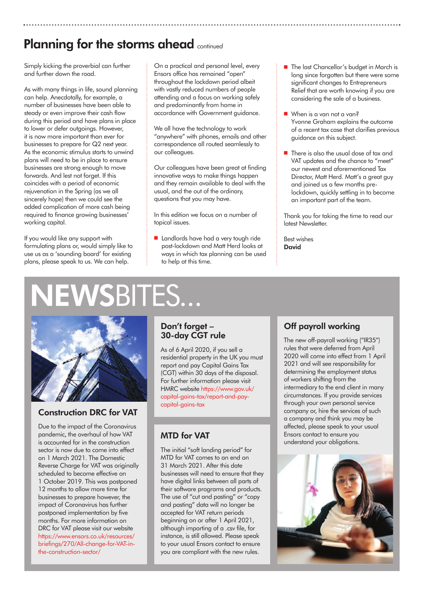## Planning for the storms ahead *continued*

Simply kicking the proverbial can further and further down the road.

As with many things in life, sound planning can help. Anecdotally, for example, a number of businesses have been able to steady or even improve their cash flow during this period and have plans in place to lower or defer outgoings. However, it is now more important than ever for businesses to prepare for Q2 next year. As the economic stimulus starts to unwind plans will need to be in place to ensure businesses are strong enough to move forwards. And lest not forget. If this coincides with a period of economic rejuvenation in the Spring (as we all sincerely hope) then we could see the added complication of more cash being required to finance growing businesses' working capital.

If you would like any support with formulating plans or, would simply like to use us as a 'sounding board' for existing plans, please speak to us. We can help.

On a practical and personal level, every Ensors office has remained "open" throughout the lockdown period albeit with vastly reduced numbers of people attending and a focus on working safely and predominantly from home in accordance with Government guidance.

We all have the technology to work "anywhere" with phones, emails and other correspondence all routed seamlessly to our colleagues.

Our colleagues have been great at finding innovative ways to make things happen and they remain available to deal with the usual, and the out of the ordinary, questions that you may have.

In this edition we focus on a number of topical issues.

**n** Landlords have had a very tough ride post-lockdown and Matt Herd looks at ways in which tax planning can be used to help at this time.

- The last Chancellor's budget in March is long since forgotten but there were some significant changes to Entrepreneurs Relief that are worth knowing if you are considering the sale of a business.
- When is a van not a van? Yvonne Graham explains the outcome of a recent tax case that clarifies previous guidance on this subject.
- $\blacksquare$  There is also the usual dose of tax and VAT updates and the chance to "meet" our newest and aforementioned Tax Director, Matt Herd. Matt's a great guy and joined us a few months pre lockdown, quickly settling in to become an important part of the team.

Thank you for taking the time to read our latest Newsletter.

Best wishes David

# **ISBITES...**



### Construction DRC for VAT

Due to the impact of the Coronavirus pandemic, the overhaul of how VAT is accounted for in the construction sector is now due to come into effect on 1 March 2021. The Domestic Reverse Charge for VAT was originally scheduled to become effective on 1 October 2019. This was postponed 12 months to allow more time for businesses to prepare however, the impact of Coronavirus has further postponed implementation by five months. For more information on DRC for VAT please visit our website https://www.ensors.co.uk/resources/ briefings/270/All-change-for-VAT-inthe-construction-sector/

### Don't forget – 30-day CGT rule

As of 6 April 2020, if you sell a residential property in the UK you must report and pay Capital Gains Tax (CGT) within 30 days of the disposal. For further information please visit HMRC website https://www.gov.uk/ capital-gains-tax/report-and-paycapital-gains-tax

### MTD for VAT

The initial "soft landing period" for MTD for VAT comes to an end on 31 March 2021. After this date businesses will need to ensure that they have digital links between all parts of their software programs and products. The use of "cut and pasting" or "copy and pasting" data will no longer be accepted for VAT return periods beginning on or after 1 April 2021, although importing of a .csv file, for instance, is still allowed. Please speak to your usual Ensors contact to ensure you are compliant with the new rules.

### Off payroll working

The new off-payroll working ("IR35") rules that were deferred from April 2020 will come into effect from 1 April 2021 and will see responsibility for determining the employment status of workers shifting from the intermediary to the end client in many circumstances. If you provide services through your own personal service company or, hire the services of such a company and think you may be affected, please speak to your usual Ensors contact to ensure you understand your obligations.

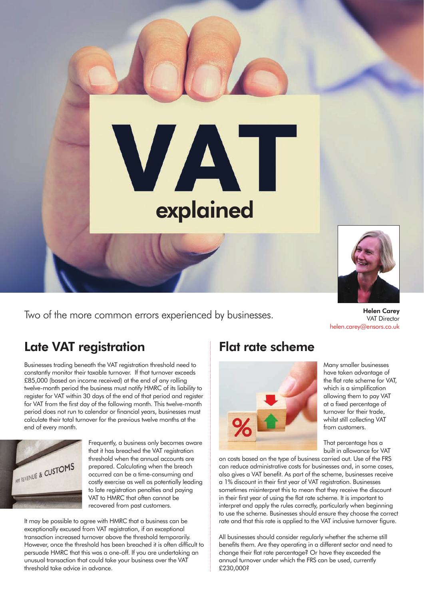

Two of the more common errors experienced by businesses.

VAT Director helen.carey@ensors.co.uk

## Late VAT registration

Businesses trading beneath the VAT registration threshold need to constantly monitor their taxable turnover. If that turnover exceeds £85,000 (based on income received) at the end of any rolling twelve-month period the business must notify HMRC of its liability to register for VAT within 30 days of the end of that period and register for VAT from the first day of the following month. This twelve-month period does not run to calendar or financial years, businesses must calculate their total turnover for the previous twelve months at the end of every month.



Frequently, a business only becomes aware that it has breached the VAT reaistration threshold when the annual accounts are prepared. Calculating when the breach occurred can be a time-consuming and costly exercise as well as potentially leading to late registration penalties and paying VAT to HMRC that often cannot be recovered from past customers.

It may be possible to agree with HMRC that a business can be exceptionally excused from VAT registration, if an exceptional transaction increased turnover above the threshold temporarily. However, once the threshold has been breached it is often difficult to persuade HMRC that this was a one-off. If you are undertaking an unusual transaction that could take your business over the VAT threshold take advice in advance.

### Flat rate scheme



Many smaller businesses have taken advantage of the flat rate scheme for VAT, which is a simplification allowing them to pay VAT at a fixed percentage of turnover for their trade, whilst still collecting VAT from customers.

That percentage has a built in allowance for VAT

on costs based on the type of business carried out. Use of the FRS can reduce administrative costs for businesses and, in some cases, also gives a VAT benefit. As part of the scheme, businesses receive a 1% discount in their first year of VAT registration. Businesses sometimes misinterpret this to mean that they receive the discount in their first year of using the flat rate scheme. It is important to interpret and apply the rules correctly, particularly when beginning to use the scheme. Businesses should ensure they choose the correct rate and that this rate is applied to the VAT inclusive turnover figure.

All businesses should consider regularly whether the scheme still benefits them. Are they operating in a different sector and need to change their flat rate percentage? Or have they exceeded the annual turnover under which the FRS can be used, currently £230,000?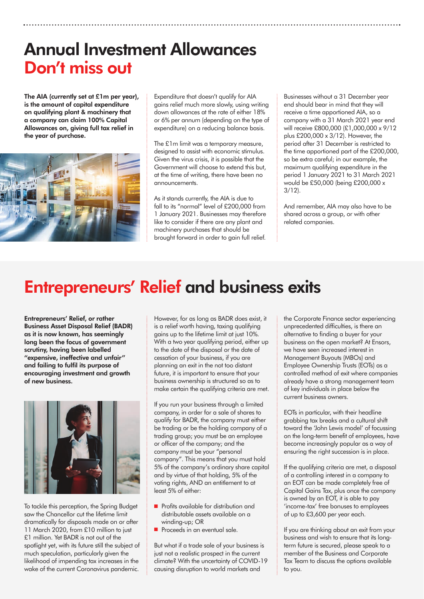# Annual Investment Allowances Don't miss out

The AIA (currently set at £1m per year), is the amount of capital expenditure on qualifying plant & machinery that a company can claim 100% Capital Allowances on, giving full tax relief in the year of purchase.



Expenditure that doesn't qualify for AIA gains relief much more slowly, using writing down allowances at the rate of either 18% or 6% per annum (depending on the type of expenditure) on a reducing balance basis.

The £1m limit was a temporary measure, designed to assist with economic stimulus. Given the virus crisis, it is possible that the Government will choose to extend this but, at the time of writing, there have been no announcements.

As it stands currently, the AIA is due to fall to its "normal" level of £200,000 from 1 January 2021. Businesses may therefore like to consider if there are any plant and machinery purchases that should be brought forward in order to gain full relief.

Businesses without a 31 December year end should bear in mind that they will receive a time apportioned AIA, so a company with a 31 March 2021 year end will receive £800,000 (£1,000,000 x 9/12 plus £200,000 x 3/12). However, the period after 31 December is restricted to the time apportioned part of the £200,000, so be extra careful; in our example, the maximum qualifying expenditure in the period 1 January 2021 to 31 March 2021 would be £50,000 (being £200,000 x 3/12).

And remember, AIA may also have to be shared across a group, or with other related companies.

# Entrepreneurs' Relief and business exits

Entrepreneurs' Relief, or rather Business Asset Disposal Relief (BADR) as it is now known, has seemingly long been the focus of government scrutiny, having been labelled "expensive, ineffective and unfair" and failing to fulfil its purpose of encouraging investment and growth of new business.



To tackle this perception, the Spring Budget saw the Chancellor cut the lifetime limit dramatically for disposals made on or after 11 March 2020, from £10 million to just £1 million. Yet BADR is not out of the spotlight yet, with its future still the subject of much speculation, particularly given the likelihood of impending tax increases in the wake of the current Coronavirus pandemic.

However, for as long as BADR does exist, it is a relief worth having, taxing qualifying gains up to the lifetime limit at just 10%. With a two year qualifying period, either up to the date of the disposal or the date of cessation of your business, if you are planning an exit in the not too distant future, it is important to ensure that your business ownership is structured so as to make certain the qualifying criteria are met.

If you run your business through a limited company, in order for a sale of shares to qualify for BADR, the company must either be trading or be the holding company of a trading group; you must be an employee or officer of the company; and the company must be your "personal company". This means that you must hold 5% of the company's ordinary share capital and by virtue of that holding, 5% of the voting rights, AND an entitlement to at least 5% of either:

- **n** Profits available for distribution and distributable assets available on a winding-up; OR
- **n** Proceeds in an eventual sale.

But what if a trade sale of your business is just not a realistic prospect in the current climate? With the uncertainty of COVID-19 causing disruption to world markets and

the Corporate Finance sector experiencing unprecedented difficulties, is there an alternative to finding a buyer for your business on the open market? At Ensors, we have seen increased interest in Management Buyouts (MBOs) and Employee Ownership Trusts (EOTs) as a controlled method of exit where companies already have a strong management team of key individuals in place below the current business owners.

EOTs in particular, with their headline grabbing tax breaks and a cultural shift toward the 'John Lewis model' of focussing on the long-term benefit of employees, have become increasingly popular as a way of ensuring the right succession is in place.

If the qualifying criteria are met, a disposal of a controlling interest in a company to an EOT can be made completely free of Capital Gains Tax, plus once the company is owned by an EOT, it is able to pay 'income-tax' free bonuses to employees of up to £3,600 per year each.

If you are thinking about an exit from your business and wish to ensure that its longterm future is secured, please speak to a member of the Business and Corporate Tax Team to discuss the options available to you.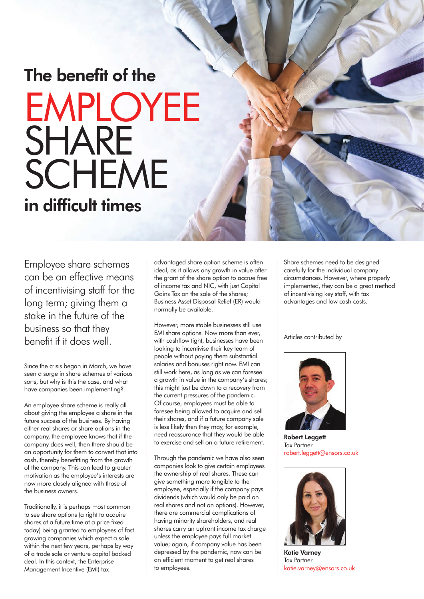# The benefit of the EMPLOYEE **SHARE** SCHEME in difficult times

Employee share schemes can be an effective means of incentivising staff for the long term; giving them a stake in the future of the business so that they benefit if it does well.

Since the crisis began in March, we have seen a surge in share schemes of various sorts, but why is this the case, and what have companies been implementing?

An employee share scheme is really all about giving the employee a share in the future success of the business. By having either real shares or share options in the company, the employee knows that if the company does well, then there should be an opportunity for them to convert that into cash, thereby benefitting from the growth of the company. This can lead to greater motivation as the employee's interests are now more closely aligned with those of the business owners.

Traditionally, it is perhaps most common to see share options (a right to acquire shares at a future time at a price fixed today) being granted to employees of fast growing companies which expect a sale within the next few years, perhaps by way of a trade sale or venture capital backed deal. In this context, the Enterprise Management Incentive (EMI) tax

advantaged share option scheme is often ideal, as it allows any growth in value after the grant of the share option to accrue free of income tax and NIC, with just Capital Gains Tax on the sale of the shares; Business Asset Disposal Relief (ER) would normally be available.

However, more stable businesses still use EMI share options. Now more than ever, with cashflow tight, businesses have been looking to incentivise their key team of people without paying them substantial salaries and bonuses right now. EMI can still work here, as long as we can foresee a growth in value in the company's shares; this might just be down to a recovery from the current pressures of the pandemic. Of course, employees must be able to foresee being allowed to acquire and sell their shares, and if a future company sale is less likely then they may, for example, need reassurance that they would be able to exercise and sell on a future retirement.

Through the pandemic we have also seen companies look to give certain employees the ownership of real shares. These can give something more tangible to the employee, especially if the company pays dividends (which would only be paid on real shares and not on options). However, there are commercial complications of having minority shareholders, and real shares carry an upfront income tax charge unless the employee pays full market value; again, if company value has been depressed by the pandemic, now can be an efficient moment to get real shares to employees.

Share schemes need to be designed carefully for the individual company circumstances. However, where properly implemented, they can be a great method of incentivising key staff, with tax advantages and low cash costs.

#### Articles contributed by



Robert Leggett Tax Partner robert.leggett@ensors.co.uk



Katie Varney Tax Partner katie.varney@ensors.co.uk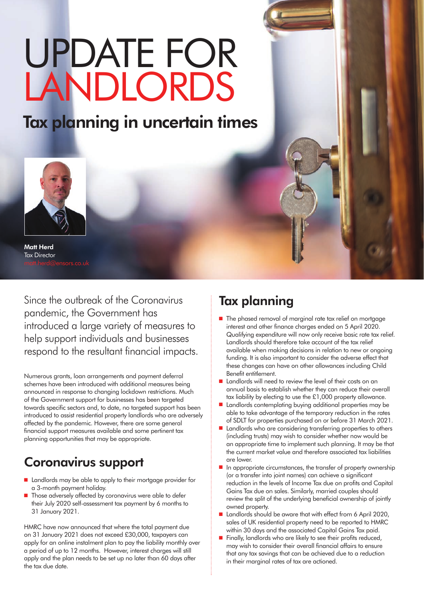# UPDATE FOR LANDLORDS

# Tax planning in uncertain times



Matt Herd Tax Director

Since the outbreak of the Coronavirus pandemic, the Government has introduced a large variety of measures to help support individuals and businesses respond to the resultant financial impacts.

Numerous grants, loan arrangements and payment deferral schemes have been introduced with additional measures being announced in response to changing lockdown restrictions. Much of the Government support for businesses has been targeted towards specific sectors and, to date, no targeted support has been introduced to assist residential property landlords who are adversely affected by the pandemic. However, there are some general financial support measures available and some pertinent tax planning opportunities that may be appropriate.

# Coronavirus support

- Landlords may be able to apply to their mortgage provider for a 3-month payment holiday.
- Those adversely affected by coronavirus were able to defer their July 2020 self-assessment tax payment by 6 months to 31 January 2021.

HMRC have now announced that where the total payment due on 31 January 2021 does not exceed £30,000, taxpayers can apply for an online instalment plan to pay the liability monthly over a period of up to 12 months. However, interest charges will still apply and the plan needs to be set up no later than 60 days after the tax due date.

# Tax planning

- $\blacksquare$  The phased removal of marginal rate tax relief on mortgage interest and other finance charges ended on 5 April 2020. Qualifying expenditure will now only receive basic rate tax relief. Landlords should therefore take account of the tax relief available when making decisions in relation to new or ongoing funding. It is also important to consider the adverse effect that these changes can have on other allowances including Child Benefit entitlement.
- Landlords will need to review the level of their costs on an annual basis to establish whether they can reduce their overall tax liability by electing to use the £1,000 property allowance.
- Landlords contemplating buying additional properties may be able to take advantage of the temporary reduction in the rates of SDLT for properties purchased on or before 31 March 2021.
- Landlords who are considering transferring properties to others (including trusts) may wish to consider whether now would be an appropriate time to implement such planning. It may be that the current market value and therefore associated tax liabilities are lower.
- $\blacksquare$  In appropriate circumstances, the transfer of property ownership (or a transfer into joint names) can achieve a significant reduction in the levels of Income Tax due on profits and Capital Gains Tax due on sales. Similarly, married couples should review the split of the underlying beneficial ownership of jointly owned property.
- Landlords should be aware that with effect from 6 April 2020, sales of UK residential property need to be reported to HMRC within 30 days and the associated Capital Gains Tax paid.
- Finally, landlords who are likely to see their profits reduced, may wish to consider their overall financial affairs to ensure that any tax savings that can be achieved due to a reduction in their marginal rates of tax are actioned.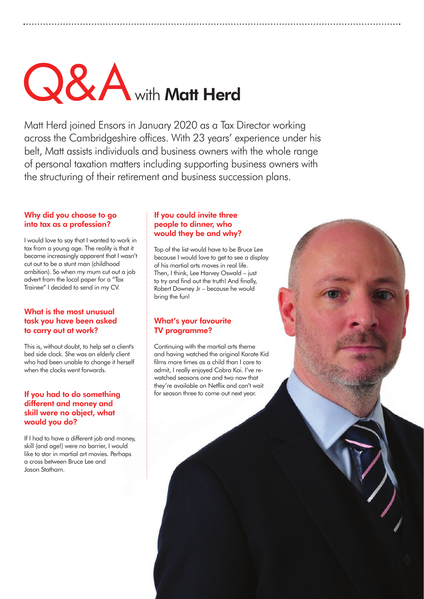# Q&A with Matt Herd

Matt Herd joined Ensors in January 2020 as a Tax Director working across the Cambridgeshire offices. With 23 years' experience under his belt, Matt assists individuals and business owners with the whole range of personal taxation matters including supporting business owners with the structuring of their retirement and business succession plans.

### Why did you choose to go into tax as a profession?

I would love to say that I wanted to work in tax from a young age. The reality is that it became increasingly apparent that I wasn't cut out to be a stunt man (childhood ambition). So when my mum cut out a job advert from the local paper for a "Tax Trainee" I decided to send in my CV.

### What is the most unusual task you have been asked to carry out at work?

This is, without doubt, to help set a client's bed side clock. She was an elderly client who had been unable to change it herself when the clocks went forwards.

### If you had to do something different and money and skill were no object, what would you do?

If I had to have a different job and money, skill (and age!) were no barrier, I would like to star in martial art movies. Perhaps a cross between Bruce Lee and Jason Statham.

#### If you could invite three people to dinner, who would they be and why?

Top of the list would have to be Bruce Lee because I would love to get to see a display of his martial arts moves in real life. Then, I think, Lee Harvey Oswald – just to try and find out the truth! And finally, Robert Downey Jr – because he would bring the fun!

### What's your favourite TV programme?

Continuing with the martial arts theme and having watched the original Karate Kid films more times as a child than I care to admit, I really enjoyed Cobra Kai. I've rewatched seasons one and two now that they're available on Netflix and can't wait for season three to come out next year.